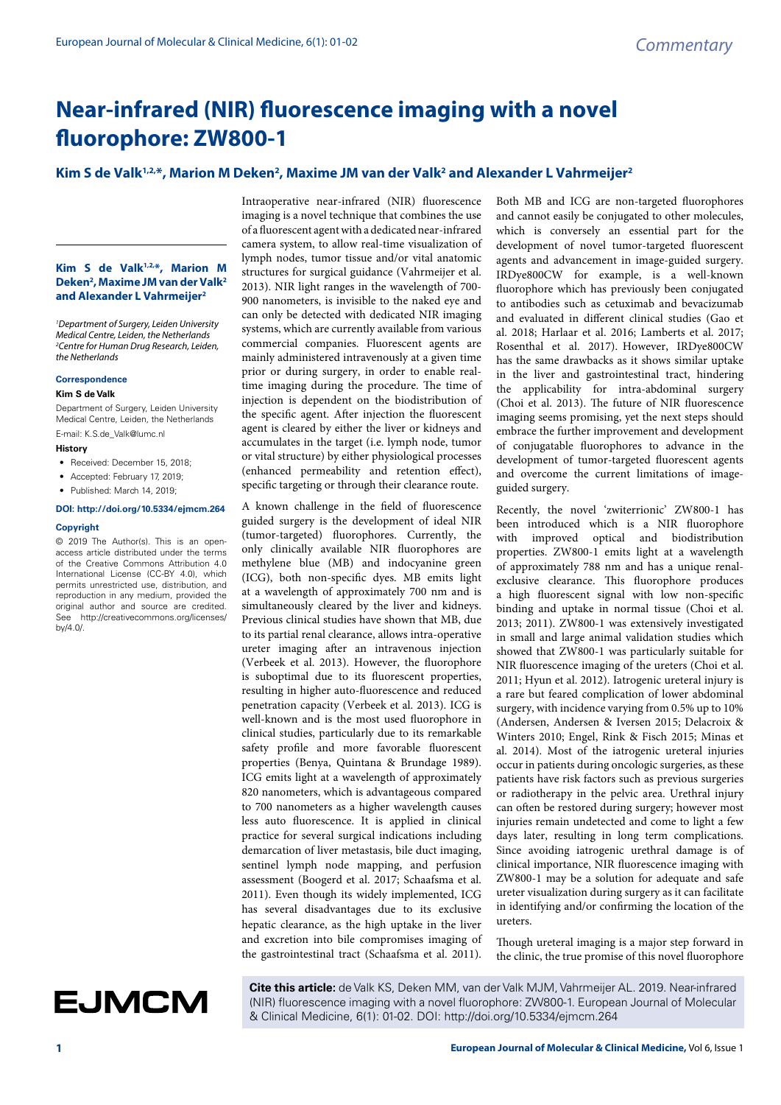# **Near-infrared (NIR) fluorescence imaging with a novel fluorophore: ZW800-1**

## Kim S de Valk<sup>1,2,</sup>\*, Marion M Deken<sup>2</sup>, Maxime JM van der Valk<sup>2</sup> and Alexander L Vahrmeijer<sup>2</sup>

### **Kim S de Valk1,2,\*, Marion M Deken2 , Maxime JM van der Valk2 and Alexander L Vahrmeijer2**

*1 Department of Surgery, Leiden University Medical Centre, Leiden, the Netherlands 2 Centre for Human Drug Research, Leiden, the Netherlands*

#### **Correspondence**

#### **Kim S de Valk**

Department of Surgery, Leiden University Medical Centre, Leiden, the Netherlands E-mail: K.S.de\_Valk@lumc.nl

#### **History**

- Received: December 15, 2018;
- Accepted: February 17, 2019;
- Published: March 14, 2019;

## **DOI: http://doi.org/10.5334/ejmcm.264**

#### **Copyright**

© 2019 The Author(s). This is an openaccess article distributed under the terms of the Creative Commons Attribution 4.0 International License (CC-BY 4.0), which permits unrestricted use, distribution, and reproduction in any medium, provided the original author and source are credited. See http://creativecommons.org/licenses/ by/4.0/.

Intraoperative near-infrared (NIR) fluorescence imaging is a novel technique that combines the use of a fluorescent agent with a dedicated near-infrared camera system, to allow real-time visualization of lymph nodes, tumor tissue and/or vital anatomic structures for surgical guidance (Vahrmeijer et al. 2013). NIR light ranges in the wavelength of 700- 900 nanometers, is invisible to the naked eye and can only be detected with dedicated NIR imaging systems, which are currently available from various commercial companies. Fluorescent agents are mainly administered intravenously at a given time prior or during surgery, in order to enable realtime imaging during the procedure. The time of injection is dependent on the biodistribution of the specific agent. After injection the fluorescent agent is cleared by either the liver or kidneys and accumulates in the target (i.e. lymph node, tumor or vital structure) by either physiological processes (enhanced permeability and retention effect), specific targeting or through their clearance route.

A known challenge in the field of fluorescence guided surgery is the development of ideal NIR (tumor-targeted) fluorophores. Currently, the only clinically available NIR fluorophores are methylene blue (MB) and indocyanine green (ICG), both non-specific dyes. MB emits light at a wavelength of approximately 700 nm and is simultaneously cleared by the liver and kidneys. Previous clinical studies have shown that MB, due to its partial renal clearance, allows intra-operative ureter imaging after an intravenous injection (Verbeek et al. 2013). However, the fluorophore is suboptimal due to its fluorescent properties, resulting in higher auto-fluorescence and reduced penetration capacity (Verbeek et al. 2013). ICG is well-known and is the most used fluorophore in clinical studies, particularly due to its remarkable safety profile and more favorable fluorescent properties (Benya, Quintana & Brundage 1989). ICG emits light at a wavelength of approximately 820 nanometers, which is advantageous compared to 700 nanometers as a higher wavelength causes less auto fluorescence. It is applied in clinical practice for several surgical indications including demarcation of liver metastasis, bile duct imaging, sentinel lymph node mapping, and perfusion assessment (Boogerd et al. 2017; Schaafsma et al. 2011). Even though its widely implemented, ICG has several disadvantages due to its exclusive hepatic clearance, as the high uptake in the liver and excretion into bile compromises imaging of the gastrointestinal tract (Schaafsma et al. 2011).

Both MB and ICG are non-targeted fluorophores and cannot easily be conjugated to other molecules, which is conversely an essential part for the development of novel tumor-targeted fluorescent agents and advancement in image-guided surgery. IRDye800CW for example, is a well-known fluorophore which has previously been conjugated to antibodies such as cetuximab and bevacizumab and evaluated in different clinical studies (Gao et al. 2018; Harlaar et al. 2016; Lamberts et al. 2017; Rosenthal et al. 2017). However, IRDye800CW has the same drawbacks as it shows similar uptake in the liver and gastrointestinal tract, hindering the applicability for intra-abdominal surgery (Choi et al. 2013). The future of NIR fluorescence imaging seems promising, yet the next steps should embrace the further improvement and development of conjugatable fluorophores to advance in the development of tumor-targeted fluorescent agents and overcome the current limitations of imageguided surgery.

Recently, the novel 'zwiterrionic' ZW800-1 has been introduced which is a NIR fluorophore with improved optical and biodistribution properties. ZW800-1 emits light at a wavelength of approximately 788 nm and has a unique renalexclusive clearance. This fluorophore produces a high fluorescent signal with low non-specific binding and uptake in normal tissue (Choi et al. 2013; 2011). ZW800-1 was extensively investigated in small and large animal validation studies which showed that ZW800-1 was particularly suitable for NIR fluorescence imaging of the ureters (Choi et al. 2011; Hyun et al. 2012). Iatrogenic ureteral injury is a rare but feared complication of lower abdominal surgery, with incidence varying from 0.5% up to 10% (Andersen, Andersen & Iversen 2015; Delacroix & Winters 2010; Engel, Rink & Fisch 2015; Minas et al. 2014). Most of the iatrogenic ureteral injuries occur in patients during oncologic surgeries, as these patients have risk factors such as previous surgeries or radiotherapy in the pelvic area. Urethral injury can often be restored during surgery; however most injuries remain undetected and come to light a few days later, resulting in long term complications. Since avoiding iatrogenic urethral damage is of clinical importance, NIR fluorescence imaging with ZW800-1 may be a solution for adequate and safe ureter visualization during surgery as it can facilitate in identifying and/or confirming the location of the ureters.

Though ureteral imaging is a major step forward in the clinic, the true promise of this novel fluorophore

**Cite this article:** de Valk KS, Deken MM, van der Valk MJM, Vahrmeijer AL. 2019. Near-infrared (NIR) fluorescence imaging with a novel fluorophore: ZW800-1. European Journal of Molecular & Clinical Medicine, 6(1): 01-02. DOI: http://doi.org/10.5334/ejmcm.264

**EJMCM**